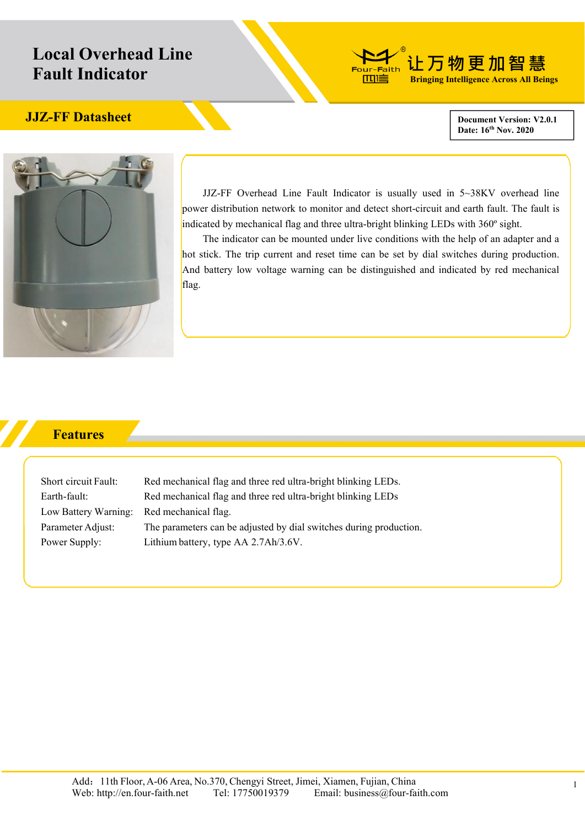## **Local Overhead Line Fault Indicator**



## **JJZ-FF** Datasheet Development Version: V2.0.1

**Date: 16 th Nov. 2020**



JJZ-FF Overhead Line Fault Indicator is usually used in  $5 \sim 38$ KV overhead line power distribution network to monitor and detect short-circuit and earth fault. The fault is indicated by mechanical flag and three ultra-bright blinking LEDs with 360º sight.

The indicator can be mounted under live conditions with the help of an adapter and a hot stick. The trip current and reset time can be set by dial switches during production. And battery low voltage warning can be distinguished and indicated by red mechanical flag.

## **Features**

Low Battery Warning: Red mechanical flag.

Short circuit Fault: Red mechanical flag and three red ultra-bright blinking LEDs. Earth-fault: Red mechanical flag and three red ultra-bright blinking LEDs Parameter Adjust: The parameters can be adjusted by dial switches during production. Power Supply: Lithium battery, type AA 2.7Ah/3.6V.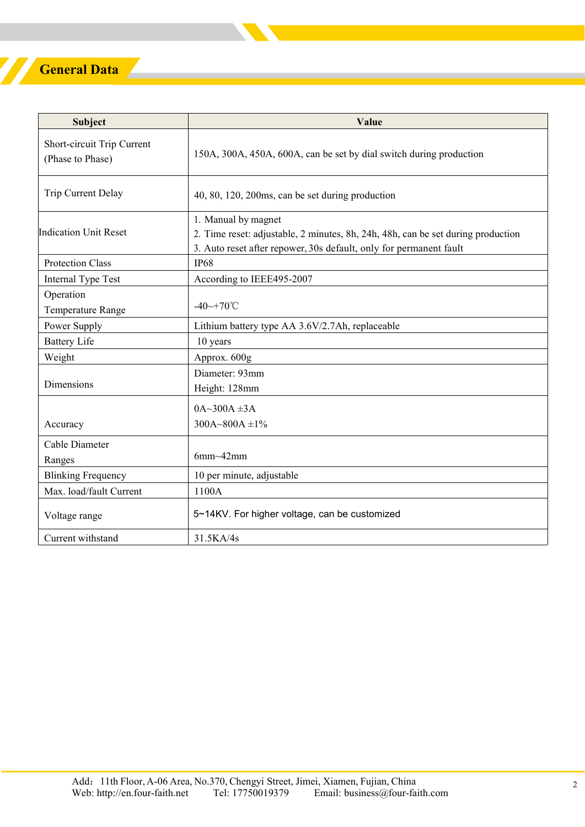## **General Data**

Z

| <b>Subject</b>                                 | Value                                                                                                                                                                         |
|------------------------------------------------|-------------------------------------------------------------------------------------------------------------------------------------------------------------------------------|
| Short-circuit Trip Current<br>(Phase to Phase) | 150A, 300A, 450A, 600A, can be set by dial switch during production                                                                                                           |
| Trip Current Delay                             | 40, 80, 120, 200ms, can be set during production                                                                                                                              |
| Indication Unit Reset                          | 1. Manual by magnet<br>2. Time reset: adjustable, 2 minutes, 8h, 24h, 48h, can be set during production<br>3. Auto reset after repower, 30s default, only for permanent fault |
| <b>Protection Class</b>                        | <b>IP68</b>                                                                                                                                                                   |
| Internal Type Test                             | According to IEEE495-2007                                                                                                                                                     |
| Operation<br>Temperature Range                 | $-40 \rightarrow +70^{\circ}$ C                                                                                                                                               |
| Power Supply                                   | Lithium battery type AA 3.6V/2.7Ah, replaceable                                                                                                                               |
| <b>Battery Life</b>                            | 10 years                                                                                                                                                                      |
| Weight                                         | Approx. 600g                                                                                                                                                                  |
| Dimensions                                     | Diameter: 93mm<br>Height: 128mm                                                                                                                                               |
| Accuracy                                       | $0A~300A~\pm 3A$<br>$300A - 800A \pm 1\%$                                                                                                                                     |
| Cable Diameter<br>Ranges                       | $6mm-42mm$                                                                                                                                                                    |
| <b>Blinking Frequency</b>                      | 10 per minute, adjustable                                                                                                                                                     |
| Max. load/fault Current                        | 1100A                                                                                                                                                                         |
| Voltage range                                  | 5~14KV. For higher voltage, can be customized                                                                                                                                 |
| Current withstand                              | 31.5KA/4s                                                                                                                                                                     |